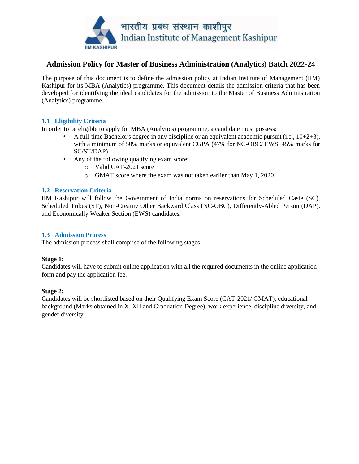

## **Admission Policy for Master of Business Administration (Analytics) Batch 2022-24**

The purpose of this document is to define the admission policy at Indian Institute of Management (IIM) Kashipur for its MBA (Analytics) programme. This document details the admission criteria that has been developed for identifying the ideal candidates for the admission to the Master of Business Administration (Analytics) programme.

## **1.1 Eligibility Criteria**

In order to be eligible to apply for MBA (Analytics) programme, a candidate must possess:

- A full-time Bachelor's degree in any discipline or an equivalent academic pursuit (i.e.,  $10+2+3$ ), with a minimum of 50% marks or equivalent CGPA (47% for NC-OBC/ EWS, 45% marks for SC/ST/DAP)
- Any of the following qualifying exam score:
	- o Valid CAT-2021 score
	- o GMAT score where the exam was not taken earlier than May 1, 2020

## **1.2 Reservation Criteria**

IIM Kashipur will follow the Government of India norms on reservations for Scheduled Caste (SC), Scheduled Tribes (ST), Non-Creamy Other Backward Class (NC-OBC), Differently-Abled Person (DAP), and Economically Weaker Section (EWS) candidates.

## **1.3 Admission Process**

The admission process shall comprise of the following stages.

#### **Stage 1**:

Candidates will have to submit online application with all the required documents in the online application form and pay the application fee.

#### **Stage 2:**

Candidates will be shortlisted based on their Qualifying Exam Score (CAT-2021/ GMAT), educational background (Marks obtained in X, XII and Graduation Degree), work experience, discipline diversity, and gender diversity.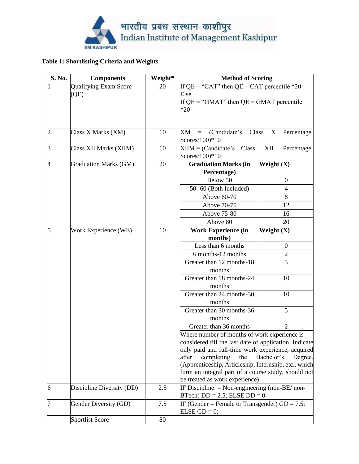

# **Table 1: Shortlisting Criteria and Weights**

| S. No. | <b>Components</b>            | Weight* | <b>Method of Scoring</b>                                                                                    |                            |
|--------|------------------------------|---------|-------------------------------------------------------------------------------------------------------------|----------------------------|
|        | <b>Qualifying Exam Score</b> | 20      | If $\overline{QE}$ = "CAT" then QE = CAT percentile *20                                                     |                            |
|        | (QE)                         |         | Else                                                                                                        |                            |
|        |                              |         | If $QE = "GMAT"$ then $QE = GMAT$ percentile                                                                |                            |
|        |                              |         | $*20$                                                                                                       |                            |
|        |                              |         |                                                                                                             |                            |
|        |                              |         |                                                                                                             |                            |
| 2      | Class X Marks (XM)           | 10      | (Candidate's Class X)<br>XM<br>$\equiv$<br>Scores/100)*10                                                   | Percentage                 |
| 3      | Class XII Marks (XIIM)       | 10      | $XIIM = (Candidate's Class)$                                                                                | $\mbox{XII}$<br>Percentage |
|        |                              |         | Scores/100)*10                                                                                              |                            |
| 4      | <b>Graduation Marks (GM)</b> | 20      | <b>Graduation Marks (in</b>                                                                                 | Weight $(X)$               |
|        |                              |         | Percentage)                                                                                                 |                            |
|        |                              |         | Below 50                                                                                                    | $\mathbf{0}$               |
|        |                              |         | 50-60 (Both Included)                                                                                       | $\overline{4}$             |
|        |                              |         | Above 60-70                                                                                                 | 8                          |
|        |                              |         | Above 70-75                                                                                                 | 12                         |
|        |                              |         | <b>Above 75-80</b>                                                                                          | 16                         |
|        |                              |         | Above 80                                                                                                    | 20                         |
| 5      | Work Experience (WE)         | 10      | <b>Work Experience (in</b>                                                                                  | Weight $(X)$               |
|        |                              |         | months)                                                                                                     |                            |
|        |                              |         | Less than 6 months                                                                                          | $\overline{0}$             |
|        |                              |         | 6 months-12 months                                                                                          | $\overline{c}$             |
|        |                              |         | Greater than 12 months-18                                                                                   | 5                          |
|        |                              |         | months                                                                                                      |                            |
|        |                              |         | Greater than 18 months-24                                                                                   | 10                         |
|        |                              |         | months                                                                                                      |                            |
|        |                              |         | Greater than 24 months-30                                                                                   | 10                         |
|        |                              |         | months                                                                                                      |                            |
|        |                              |         | Greater than 30 months-36                                                                                   | 5                          |
|        |                              |         | months                                                                                                      |                            |
|        |                              |         | Greater than 36 months                                                                                      | $\overline{2}$             |
|        |                              |         | Where number of months of work experience is                                                                |                            |
|        |                              |         | considered till the last date of application. Indicate<br>only paid and full-time work experience, acquired |                            |
|        |                              |         | completing<br>the<br>after                                                                                  | Bachelor's<br>Degree.      |
|        |                              |         | (Apprenticeship, Articleship, Internship, etc., which                                                       |                            |
|        |                              |         | form an integral part of a course study, should not                                                         |                            |
|        |                              |         | be treated as work experience).                                                                             |                            |
| 6      | Discipline Diversity (DD)    | 2.5     | IF Discipline = Non-engineering (non-BE/non-                                                                |                            |
|        |                              |         | $BTech$ ) $DD = 2.5$ ; ELSE $DD = 0$                                                                        |                            |
|        | Gender Diversity (GD)        | 7.5     | IF (Gender = Female or Transgender) $GD = 7.5$ ;                                                            |                            |
|        |                              |         | ELSE $GD = 0$ ;                                                                                             |                            |
|        | <b>Shortlist Score</b>       | 80      |                                                                                                             |                            |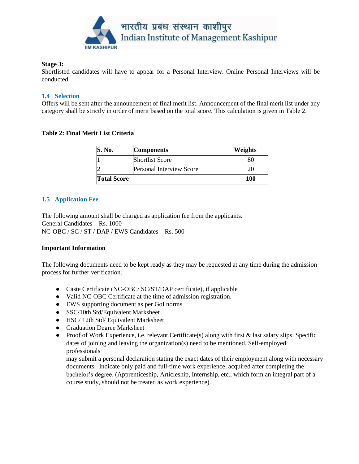

#### **Stage 3:**

Shortlisted candidates will have to appear for a Personal Interview. Online Personal Interviews will be conducted.

## **1.4 Selection**

Offers will be sent after the announcement of final merit list. Announcement of the final merit list under any category shall be strictly in order of merit based on the total score. This calculation is given in Table 2.

## **Table 2: Final Merit List Criteria**

| <b>S. No.</b>      | <b>Components</b>               | Weights |
|--------------------|---------------------------------|---------|
|                    | <b>Shortlist Score</b>          | 80      |
|                    | <b>Personal Interview Score</b> | 20      |
| <b>Total Score</b> | 100                             |         |

## **1.5 Application Fee**

The following amount shall be charged as application fee from the applicants. General Candidates – Rs. 1000 NC-OBC / SC / ST / DAP / EWS Candidates – Rs. 500

#### **Important Information**

The following documents need to be kept ready as they may be requested at any time during the admission process for further verification.

- Caste Certificate (NC-OBC/ SC/ST/DAP certificate), if applicable
- Valid NC-OBC Certificate at the time of admission registration.
- EWS supporting document as per GoI norms
- SSC/10th Std/Equivalent Marksheet
- HSC/ 12th Std/ Equivalent Marksheet
- Graduation Degree Marksheet
- Proof of Work Experience, i.e. relevant Certificate(s) along with first & last salary slips. Specific dates of joining and leaving the organization(s) need to be mentioned. Self-employed professionals

may submit a personal declaration stating the exact dates of their employment along with necessary documents. Indicate only paid and full-time work experience, acquired after completing the bachelor's degree. (Apprenticeship, Articleship, Internship, etc., which form an integral part of a course study, should not be treated as work experience).